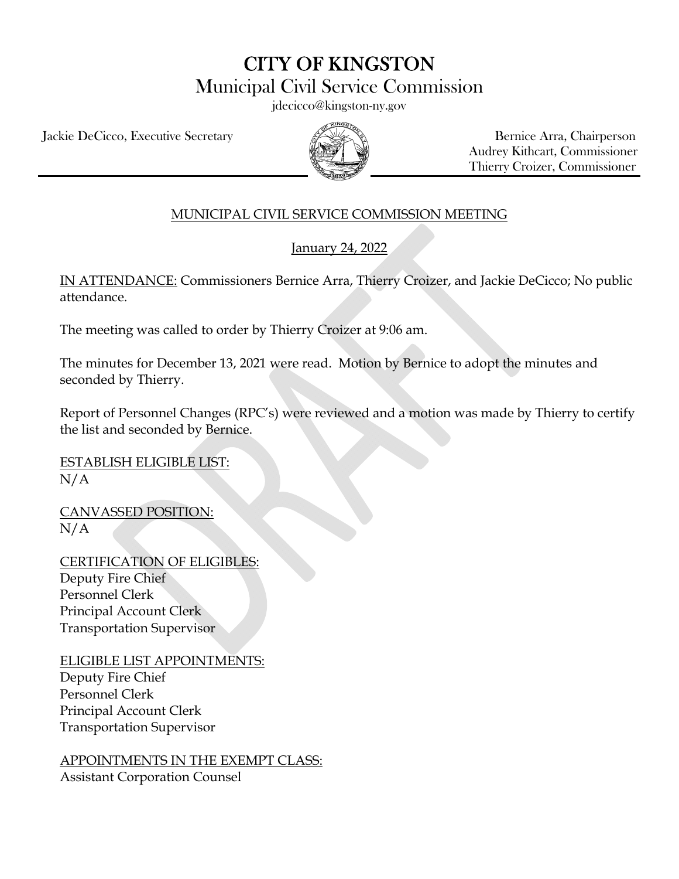CITY OF KINGSTON

Municipal Civil Service Commission

jdecicco@kingston-ny.gov

Jackie DeCicco, Executive Secretary All Allen Arra, Chairperson



 Audrey Kithcart, Commissioner Thierry Croizer, Commissioner

## MUNICIPAL CIVIL SERVICE COMMISSION MEETING

January 24, 2022

IN ATTENDANCE: Commissioners Bernice Arra, Thierry Croizer, and Jackie DeCicco; No public attendance.

The meeting was called to order by Thierry Croizer at 9:06 am.

The minutes for December 13, 2021 were read. Motion by Bernice to adopt the minutes and seconded by Thierry.

Report of Personnel Changes (RPC's) were reviewed and a motion was made by Thierry to certify the list and seconded by Bernice.

ESTABLISH ELIGIBLE LIST:  $N/A$ 

CANVASSED POSITION:  $N/A$ 

CERTIFICATION OF ELIGIBLES: Deputy Fire Chief Personnel Clerk Principal Account Clerk Transportation Supervisor

ELIGIBLE LIST APPOINTMENTS: Deputy Fire Chief Personnel Clerk Principal Account Clerk Transportation Supervisor

APPOINTMENTS IN THE EXEMPT CLASS: Assistant Corporation Counsel